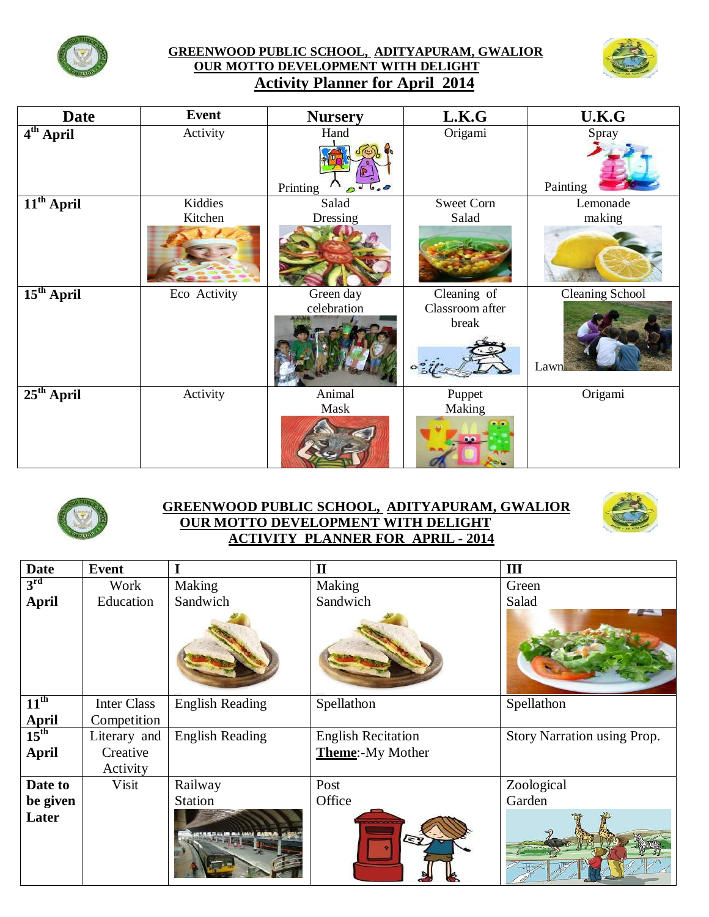

## **GREENWOOD PUBLIC SCHOOL, ADITYAPURAM, GWALIOR OUR MOTTO DEVELOPMENT WITH DELIGHT Activity Planner for April 2014**



| <b>Date</b>           | <b>Event</b>       | <b>Nursery</b>           | L.K.G                                   | U.K.G                   |
|-----------------------|--------------------|--------------------------|-----------------------------------------|-------------------------|
| 4 <sup>th</sup> April | Activity           | Hand<br>Printing         | Origami                                 | Spray<br>Painting       |
| $11th$ April          | Kiddies<br>Kitchen | Salad<br>Dressing        | <b>Sweet Corn</b><br>Salad              | Lemonade<br>making      |
| $15th$ April          | Eco Activity       | Green day<br>celebration | Cleaning of<br>Classroom after<br>break | Cleaning School<br>Lawn |
| $25th$ April          | Activity           | Animal<br>Mask           | Puppet<br>Making                        | Origami                 |



## **GREENWOOD PUBLIC SCHOOL, ADITYAPURAM, GWALIOR OUR MOTTO DEVELOPMENT WITH DELIGHT ACTIVITY PLANNER FOR APRIL - 2014**



| <b>Date</b>               | <b>Event</b>       |                        | $\mathbf{I}$              | III                         |
|---------------------------|--------------------|------------------------|---------------------------|-----------------------------|
| $3^{\rm rd}$              | Work               | Making                 | Making                    | Green                       |
| <b>April</b>              | Education          | Sandwich               | Sandwich                  | Salad                       |
|                           |                    |                        |                           |                             |
| $11^{\text{th}}$          | <b>Inter Class</b> | <b>English Reading</b> | Spellathon                | Spellathon                  |
| April<br>15 <sup>th</sup> | Competition        |                        |                           |                             |
|                           | Literary and       | <b>English Reading</b> | <b>English Recitation</b> | Story Narration using Prop. |
| <b>April</b>              | Creative           |                        | <b>Theme:-My Mother</b>   |                             |
|                           | Activity           |                        |                           |                             |
| Date to                   | Visit              | Railway                | Post                      | Zoological                  |
| be given                  |                    | <b>Station</b>         | Office                    | Garden                      |
| Later                     |                    |                        |                           |                             |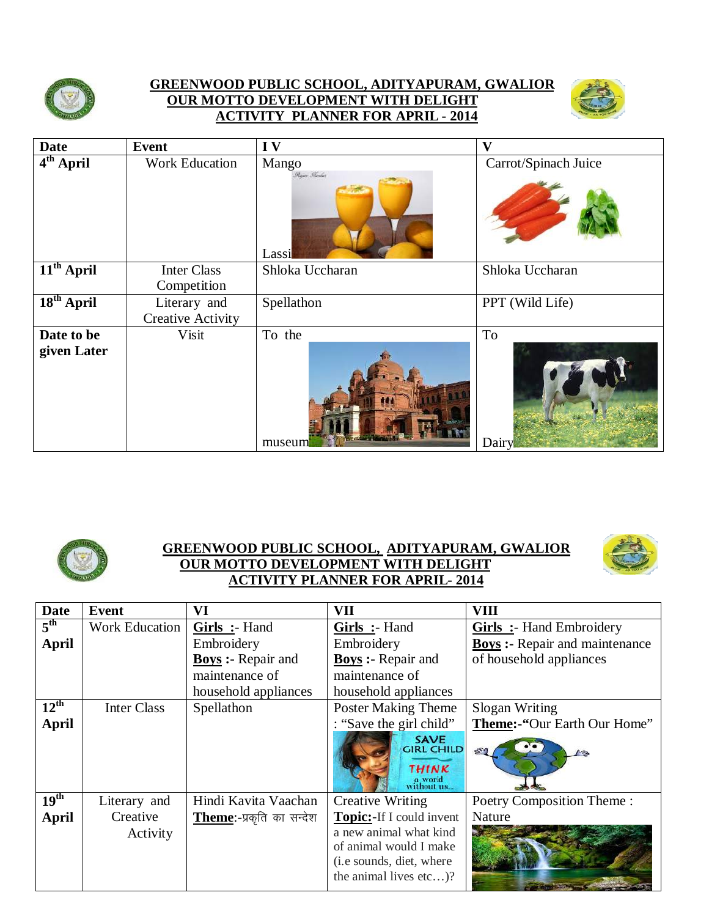

## **GREENWOOD PUBLIC SCHOOL, ADITYAPURAM, GWALIOR OUR MOTTO DEVELOPMENT WITH DELIGHT ACTIVITY PLANNER FOR APRIL - 2014**



| <b>Date</b>  | <b>Event</b>             | IV                             | V                    |
|--------------|--------------------------|--------------------------------|----------------------|
| $4th$ April  | <b>Work Education</b>    | Mango<br>Rever Ferdes<br>Lassi | Carrot/Spinach Juice |
| $11th$ April | <b>Inter Class</b>       | Shloka Uccharan                | Shloka Uccharan      |
|              | Competition              |                                |                      |
| $18th$ April | Literary and             | Spellathon                     | PPT (Wild Life)      |
|              | <b>Creative Activity</b> |                                |                      |
| Date to be   | Visit                    | To the                         | To                   |
| given Later  |                          | museum                         | Dairy                |



## **GREENWOOD PUBLIC SCHOOL, ADITYAPURAM, GWALIOR OUR MOTTO DEVELOPMENT WITH DELIGHT ACTIVITY PLANNER FOR APRIL- 2014**



| <b>Date</b>      | Event                 | VI                       | VII                                                                       | VIII                                  |
|------------------|-----------------------|--------------------------|---------------------------------------------------------------------------|---------------------------------------|
| $5^{\text{th}}$  | <b>Work Education</b> | Girls :- Hand            | Girls :- Hand                                                             | <b>Girls</b> :- Hand Embroidery       |
| April            |                       | Embroidery               | Embroidery                                                                | <b>Boys</b> :- Repair and maintenance |
|                  |                       | <b>Boys</b> : Repair and | <b>Boys:</b> - Repair and                                                 | of household appliances               |
|                  |                       | maintenance of           | maintenance of                                                            |                                       |
|                  |                       | household appliances     | household appliances                                                      |                                       |
| $12^{\text{th}}$ | <b>Inter Class</b>    | Spellathon               | <b>Poster Making Theme</b>                                                | Slogan Writing                        |
| April            |                       |                          | : "Save the girl child"                                                   | Theme:-"Our Earth Our Home"           |
|                  |                       |                          | <b>SAVE</b><br><b>GIRL CHILD</b><br><b>THINK</b><br>a world<br>without us |                                       |
| 19 <sup>th</sup> | Literary and          | Hindi Kavita Vaachan     | <b>Creative Writing</b>                                                   | Poetry Composition Theme:             |
| <b>April</b>     | Creative              | Theme:-प्रकृति का सन्देश | <b>Topic:-If I could invent</b>                                           | Nature                                |
|                  | Activity              |                          | a new animal what kind                                                    |                                       |
|                  |                       |                          | of animal would I make                                                    |                                       |
|                  |                       |                          | (i.e sounds, diet, where                                                  |                                       |
|                  |                       |                          | the animal lives $etc$ ?                                                  |                                       |